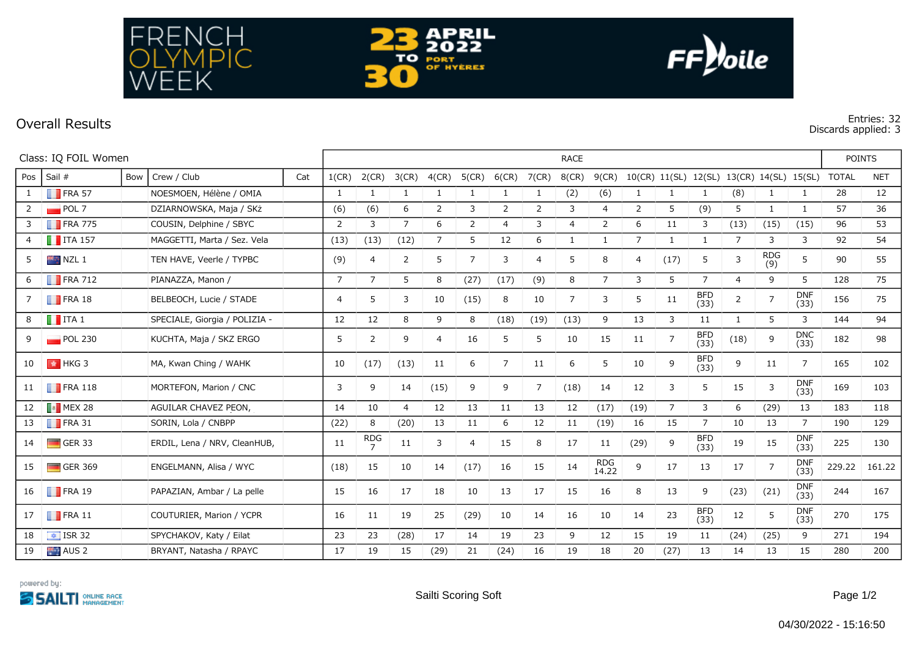



 $FF$ *yoile* 

## **Discards applied: 3**

| Class: IQ FOIL Women |                        |     |                               |     | <b>RACE</b> |                |                |                |                |                |                |                |                     |                |                |                    |                |                | <b>POINTS</b>                             |        |            |
|----------------------|------------------------|-----|-------------------------------|-----|-------------|----------------|----------------|----------------|----------------|----------------|----------------|----------------|---------------------|----------------|----------------|--------------------|----------------|----------------|-------------------------------------------|--------|------------|
| Pos                  | Sail #                 | Bow | Crew / Club                   | Cat | 1(CR)       | 2(CR)          | 3(CR)          | $4$ (CR)       | 5(CR)          | $6$ (CR)       | 7(CR)          | $8$ (CR)       | 9(CR)               |                |                |                    |                |                | 10(CR) 11(SL) 12(SL) 13(CR) 14(SL) 15(SL) | TOTAL  | <b>NET</b> |
| $\mathbf{1}$         | $\blacksquare$ FRA 57  |     | NOESMOEN, Hélène / OMIA       |     | 1           | 1              | 1              | -1             | 1              | 1              | 1              | (2)            | (6)                 | 1              | 1              | 1                  | (8)            | 1              | $\mathbf{1}$                              | 28     | 12         |
| $2^{\circ}$          | POL7                   |     | DZIARNOWSKA, Maja / SKż       |     | (6)         | (6)            | 6              | 2              | 3              | 2              | 2              | 3              | $\overline{4}$      | 2              | 5              | (9)                | 5              | $\mathbf{1}$   | $\mathbf{1}$                              | 57     | 36         |
| 3                    | $\blacksquare$ FRA 775 |     | COUSIN, Delphine / SBYC       |     | 2           | 3              | $\overline{7}$ | 6              | 2              | $\overline{4}$ | 3              | $\overline{4}$ | $\overline{2}$      | 6              | 11             | 3                  | (13)           | (15)           | (15)                                      | 96     | 53         |
|                      | $\blacksquare$ ITA 157 |     | MAGGETTI, Marta / Sez. Vela   |     | (13)        | (13)           | (12)           | $\overline{7}$ | 5              | 12             | 6              | $\mathbf{1}$   | $\mathbf{1}$        | 7              | $\mathbf{1}$   | $\mathbf{1}$       | 7              | 3              | 3                                         | 92     | 54         |
| 5                    | $NZL$ 1                |     | TEN HAVE, Veerle / TYPBC      |     | (9)         | 4              | $\overline{2}$ | 5              | $\overline{7}$ | 3              | 4              | 5              | 8                   | $\overline{4}$ | (17)           | 5                  | 3              | RDG<br>(9)     | 5                                         | 90     | 55         |
| 6                    | $\blacksquare$ FRA 712 |     | PIANAZZA, Manon /             |     | 7           | $\overline{7}$ | 5              | 8              | (27)           | (17)           | (9)            | 8              | $7^{\circ}$         | 3              | 5              | 7                  | $\overline{4}$ | 9              | 5                                         | 128    | 75         |
|                      | $\blacksquare$ FRA 18  |     | BELBEOCH, Lucie / STADE       |     | 4           | 5              | 3              | 10             | (15)           | 8              | 10             | 7              | 3                   | 5              | 11             | <b>BFD</b><br>(33) | $\overline{2}$ | $\overline{7}$ | <b>DNF</b><br>(33)                        | 156    | 75         |
| 8                    | $\blacksquare$ ITA 1   |     | SPECIALE, Giorgia / POLIZIA - |     | 12          | 12             | 8              | 9              | 8              | (18)           | (19)           | (13)           | 9                   | 13             | 3              | 11                 | $\mathbf{1}$   | 5              | 3                                         | 144    | 94         |
|                      | $\blacksquare$ POL 230 |     | KUCHTA, Maja / SKZ ERGO       |     | 5           | 2              | 9              | 4              | 16             | 5              | 5              | 10             | 15                  | 11             | 7              | <b>BFD</b><br>(33) | (18)           | 9              | <b>DNC</b><br>(33)                        | 182    | 98         |
| 10                   | $\parallel$ + HKG 3    |     | MA, Kwan Ching / WAHK         |     | 10          | (17)           | (13)           | 11             | 6              | $\overline{7}$ | 11             | 6              | 5                   | 10             | 9              | <b>BFD</b><br>(33) | 9              | 11             | 7                                         | 165    | 102        |
| 11                   | $\blacksquare$ FRA 118 |     | MORTEFON, Marion / CNC        |     | 3           | 9              | 14             | (15)           | 9              | 9              | $\overline{7}$ | (18)           | 14                  | 12             | 3              | 5                  | 15             | 3              | <b>DNF</b><br>(33)                        | 169    | 103        |
| 12                   | $\blacksquare$ MEX 28  |     | AGUILAR CHAVEZ PEON,          |     | 14          | 10             | $\overline{4}$ | 12             | 13             | 11             | 13             | 12             | (17)                | (19)           | $\overline{7}$ | 3                  | 6              | (29)           | 13                                        | 183    | 118        |
| 13                   | $\blacksquare$ FRA 31  |     | SORIN, Lola / CNBPP           |     | (22)        | 8              | (20)           | 13             | 11             | 6              | 12             | 11             | (19)                | 16             | 15             | $\overline{7}$     | 10             | 13             | 7                                         | 190    | 129        |
| 14                   | $\Box$ GER 33          |     | ERDIL, Lena / NRV, CleanHUB,  |     | 11          | $R_{7}^{DG}$   | 11             | 3              | $\overline{4}$ | 15             | 8              | 17             | 11                  | (29)           | 9              | <b>BFD</b><br>(33) | 19             | 15             | <b>DNF</b><br>(33)                        | 225    | 130        |
| 15                   | $\Box$ GER 369         |     | ENGELMANN, Alisa / WYC        |     | (18)        | 15             | 10             | 14             | (17)           | 16             | 15             | 14             | <b>RDG</b><br>14.22 | 9              | 17             | 13                 | 17             | $\overline{7}$ | <b>DNF</b><br>(33)                        | 229.22 | 161.22     |
| 16                   | $\blacksquare$ FRA 19  |     | PAPAZIAN, Ambar / La pelle    |     | 15          | 16             | 17             | 18             | 10             | 13             | 17             | 15             | 16                  | 8              | 13             | 9                  | (23)           | (21)           | <b>DNF</b><br>(33)                        | 244    | 167        |
| 17                   | $\blacksquare$ FRA 11  |     | COUTURIER, Marion / YCPR      |     | 16          | 11             | 19             | 25             | (29)           | 10             | 14             | 16             | 10                  | 14             | 23             | <b>BFD</b><br>(33) | 12             | 5              | <b>DNF</b><br>(33)                        | 270    | 175        |
| 18                   | $\sqrt{15}$ ISR 32     |     | SPYCHAKOV, Katy / Eilat       |     | 23          | 23             | (28)           | 17             | 14             | 19             | 23             | 9              | 12                  | 15             | 19             | 11                 | (24)           | (25)           | 9                                         | 271    | 194        |
| 19                   | AUS <sub>2</sub>       |     | BRYANT, Natasha / RPAYC       |     | 17          | 19             | 15             | (29)           | 21             | (24)           | 16             | 19             | 18                  | 20             | (27)           | 13                 | 14             | 13             | 15                                        | 280    | 200        |

**APRIL** 

**2022** 

тo